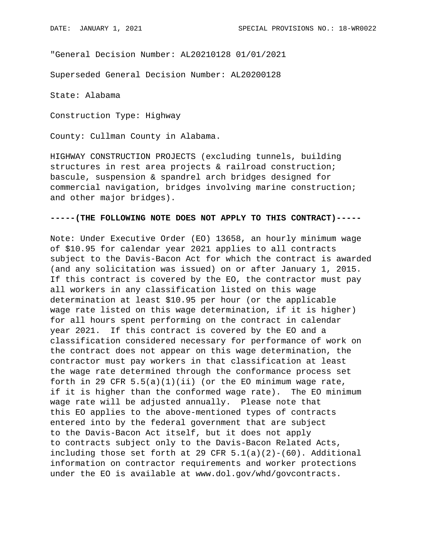"General Decision Number: AL20210128 01/01/2021

Superseded General Decision Number: AL20200128

State: Alabama

Construction Type: Highway

County: Cullman County in Alabama.

HIGHWAY CONSTRUCTION PROJECTS (excluding tunnels, building structures in rest area projects & railroad construction; bascule, suspension & spandrel arch bridges designed for commercial navigation, bridges involving marine construction; and other major bridges).

## **-----(THE FOLLOWING NOTE DOES NOT APPLY TO THIS CONTRACT)-----**

Note: Under Executive Order (EO) 13658, an hourly minimum wage of \$10.95 for calendar year 2021 applies to all contracts subject to the Davis-Bacon Act for which the contract is awarded (and any solicitation was issued) on or after January 1, 2015. If this contract is covered by the EO, the contractor must pay all workers in any classification listed on this wage determination at least \$10.95 per hour (or the applicable wage rate listed on this wage determination, if it is higher) for all hours spent performing on the contract in calendar year 2021. If this contract is covered by the EO and a classification considered necessary for performance of work on the contract does not appear on this wage determination, the contractor must pay workers in that classification at least the wage rate determined through the conformance process set forth in 29 CFR  $5.5(a)(1)(ii)$  (or the EO minimum wage rate, if it is higher than the conformed wage rate). The EO minimum wage rate will be adjusted annually. Please note that this EO applies to the above-mentioned types of contracts entered into by the federal government that are subject to the Davis-Bacon Act itself, but it does not apply to contracts subject only to the Davis-Bacon Related Acts, including those set forth at 29 CFR  $5.1(a)(2)-(60)$ . Additional information on contractor requirements and worker protections under the EO is available at www.dol.gov/whd/govcontracts.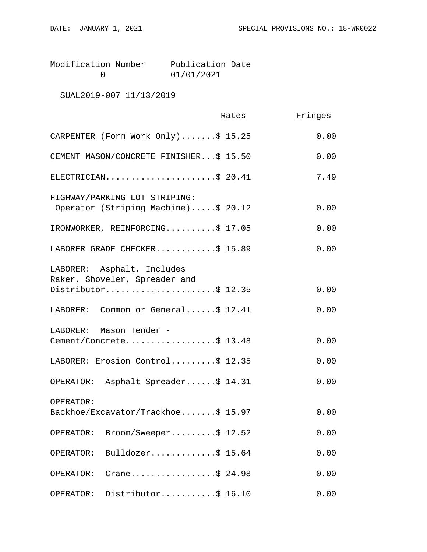| Modification Number | Publication Date |  |
|---------------------|------------------|--|
|                     | 01/01/2021       |  |

SUAL2019-007 11/13/2019

|                                                                      | Rates | Fringes |
|----------------------------------------------------------------------|-------|---------|
| CARPENTER (Form Work Only)\$ 15.25                                   |       | 0.00    |
| CEMENT MASON/CONCRETE FINISHER\$ 15.50                               |       | 0.00    |
| ELECTRICIAN\$ 20.41                                                  |       | 7.49    |
| HIGHWAY/PARKING LOT STRIPING:<br>Operator (Striping Machine)\$ 20.12 |       | 0.00    |
| IRONWORKER, REINFORCING\$ 17.05                                      |       | 0.00    |
| LABORER GRADE CHECKER\$ 15.89                                        |       | 0.00    |
| LABORER: Asphalt, Includes<br>Raker, Shoveler, Spreader and          |       |         |
| Distributor\$ 12.35                                                  |       | 0.00    |
| LABORER: Common or General\$ 12.41                                   |       | 0.00    |
| LABORER: Mason Tender -<br>Cement/Concrete\$ 13.48                   |       | 0.00    |
| LABORER: Erosion Control\$ 12.35                                     |       | 0.00    |
| OPERATOR: Asphalt Spreader\$ 14.31                                   |       | 0.00    |
| OPERATOR:<br>Backhoe/Excavator/Trackhoe\$ 15.97                      |       | 0.00    |
| Broom/Sweeper\$ 12.52<br>OPERATOR:                                   |       | 0.00    |
| Bulldozer\$ 15.64<br>OPERATOR:                                       |       | 0.00    |
| Crane\$ 24.98<br>OPERATOR:                                           |       | 0.00    |
| Distributor\$ 16.10<br>OPERATOR:                                     |       | 0.00    |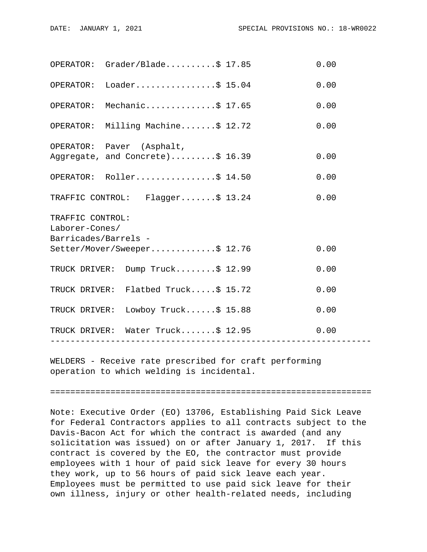| OPERATOR: Grader/Blade                                                                     |                  |  | 0.00 |  |  |
|--------------------------------------------------------------------------------------------|------------------|--|------|--|--|
| OPERATOR: Loader\$ 15.04                                                                   |                  |  | 0.00 |  |  |
| OPERATOR: Mechanic\$ 17.65                                                                 |                  |  | 0.00 |  |  |
| OPERATOR: Milling Machine\$ 12.72                                                          |                  |  | 0.00 |  |  |
| OPERATOR: Paver (Asphalt,<br>Aggregate, and Concrete)\$ 16.39                              |                  |  | 0.00 |  |  |
| OPERATOR: Roller\$ 14.50                                                                   |                  |  | 0.00 |  |  |
| TRAFFIC CONTROL: Flagger\$ 13.24                                                           |                  |  | 0.00 |  |  |
| TRAFFIC CONTROL:<br>Laborer-Cones/<br>Barricades/Barrels -<br>Setter/Mover/Sweeper\$ 12.76 |                  |  |      |  |  |
|                                                                                            |                  |  | 0.00 |  |  |
| TRUCK DRIVER: Dump Truck\$ 12.99                                                           |                  |  | 0.00 |  |  |
| TRUCK DRIVER: Flatbed Truck\$ 15.72                                                        |                  |  | 0.00 |  |  |
| TRUCK DRIVER: Lowboy Truck\$ 15.88                                                         |                  |  | 0.00 |  |  |
| TRUCK DRIVER: Water Truck\$ 12.95                                                          | ---------------- |  | 0.00 |  |  |
|                                                                                            |                  |  |      |  |  |

WELDERS - Receive rate prescribed for craft performing operation to which welding is incidental.

================================================================

Note: Executive Order (EO) 13706, Establishing Paid Sick Leave for Federal Contractors applies to all contracts subject to the Davis-Bacon Act for which the contract is awarded (and any solicitation was issued) on or after January 1, 2017. If this contract is covered by the EO, the contractor must provide employees with 1 hour of paid sick leave for every 30 hours they work, up to 56 hours of paid sick leave each year. Employees must be permitted to use paid sick leave for their own illness, injury or other health-related needs, including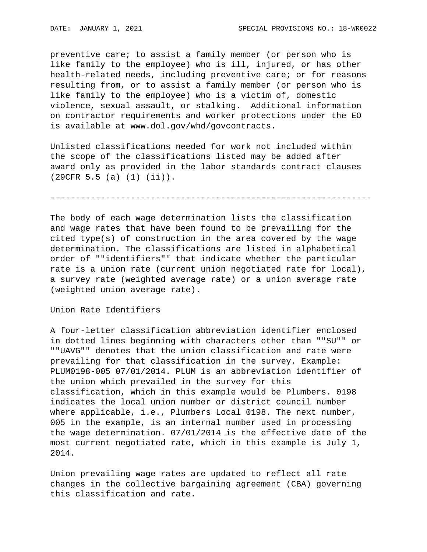preventive care; to assist a family member (or person who is like family to the employee) who is ill, injured, or has other health-related needs, including preventive care; or for reasons resulting from, or to assist a family member (or person who is like family to the employee) who is a victim of, domestic violence, sexual assault, or stalking. Additional information on contractor requirements and worker protections under the EO is available at www.dol.gov/whd/govcontracts.

Unlisted classifications needed for work not included within the scope of the classifications listed may be added after award only as provided in the labor standards contract clauses (29CFR 5.5 (a) (1) (ii)).

----------------------------------------------------------------

The body of each wage determination lists the classification and wage rates that have been found to be prevailing for the cited type(s) of construction in the area covered by the wage determination. The classifications are listed in alphabetical order of ""identifiers"" that indicate whether the particular rate is a union rate (current union negotiated rate for local), a survey rate (weighted average rate) or a union average rate (weighted union average rate).

Union Rate Identifiers

A four-letter classification abbreviation identifier enclosed in dotted lines beginning with characters other than ""SU"" or ""UAVG"" denotes that the union classification and rate were prevailing for that classification in the survey. Example: PLUM0198-005 07/01/2014. PLUM is an abbreviation identifier of the union which prevailed in the survey for this classification, which in this example would be Plumbers. 0198 indicates the local union number or district council number where applicable, i.e., Plumbers Local 0198. The next number, 005 in the example, is an internal number used in processing the wage determination. 07/01/2014 is the effective date of the most current negotiated rate, which in this example is July 1, 2014.

Union prevailing wage rates are updated to reflect all rate changes in the collective bargaining agreement (CBA) governing this classification and rate.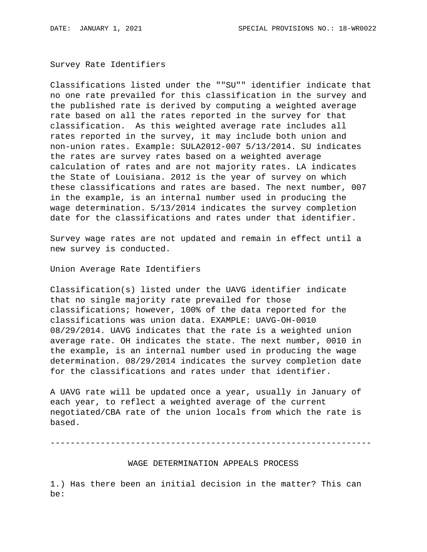Survey Rate Identifiers

Classifications listed under the ""SU"" identifier indicate that no one rate prevailed for this classification in the survey and the published rate is derived by computing a weighted average rate based on all the rates reported in the survey for that classification. As this weighted average rate includes all rates reported in the survey, it may include both union and non-union rates. Example: SULA2012-007 5/13/2014. SU indicates the rates are survey rates based on a weighted average calculation of rates and are not majority rates. LA indicates the State of Louisiana. 2012 is the year of survey on which these classifications and rates are based. The next number, 007 in the example, is an internal number used in producing the wage determination. 5/13/2014 indicates the survey completion date for the classifications and rates under that identifier.

Survey wage rates are not updated and remain in effect until a new survey is conducted.

Union Average Rate Identifiers

Classification(s) listed under the UAVG identifier indicate that no single majority rate prevailed for those classifications; however, 100% of the data reported for the classifications was union data. EXAMPLE: UAVG-OH-0010 08/29/2014. UAVG indicates that the rate is a weighted union average rate. OH indicates the state. The next number, 0010 in the example, is an internal number used in producing the wage determination. 08/29/2014 indicates the survey completion date for the classifications and rates under that identifier.

A UAVG rate will be updated once a year, usually in January of each year, to reflect a weighted average of the current negotiated/CBA rate of the union locals from which the rate is based.

----------------------------------------------------------------

WAGE DETERMINATION APPEALS PROCESS

1.) Has there been an initial decision in the matter? This can be: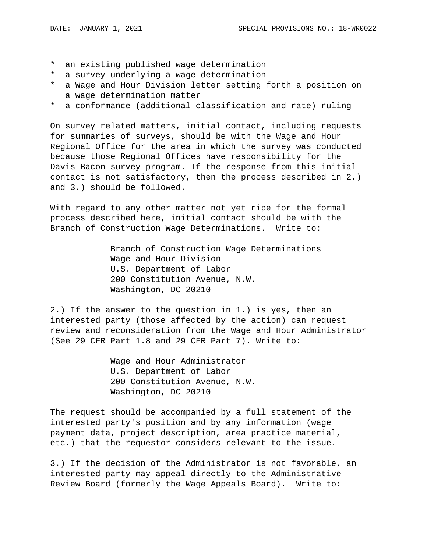- \* an existing published wage determination
- \* a survey underlying a wage determination
- \* a Wage and Hour Division letter setting forth a position on a wage determination matter
- \* a conformance (additional classification and rate) ruling

On survey related matters, initial contact, including requests for summaries of surveys, should be with the Wage and Hour Regional Office for the area in which the survey was conducted because those Regional Offices have responsibility for the Davis-Bacon survey program. If the response from this initial contact is not satisfactory, then the process described in 2.) and 3.) should be followed.

With regard to any other matter not yet ripe for the formal process described here, initial contact should be with the Branch of Construction Wage Determinations. Write to:

> Branch of Construction Wage Determinations Wage and Hour Division U.S. Department of Labor 200 Constitution Avenue, N.W. Washington, DC 20210

2.) If the answer to the question in 1.) is yes, then an interested party (those affected by the action) can request review and reconsideration from the Wage and Hour Administrator (See 29 CFR Part 1.8 and 29 CFR Part 7). Write to:

> Wage and Hour Administrator U.S. Department of Labor 200 Constitution Avenue, N.W. Washington, DC 20210

The request should be accompanied by a full statement of the interested party's position and by any information (wage payment data, project description, area practice material, etc.) that the requestor considers relevant to the issue.

3.) If the decision of the Administrator is not favorable, an interested party may appeal directly to the Administrative Review Board (formerly the Wage Appeals Board). Write to: